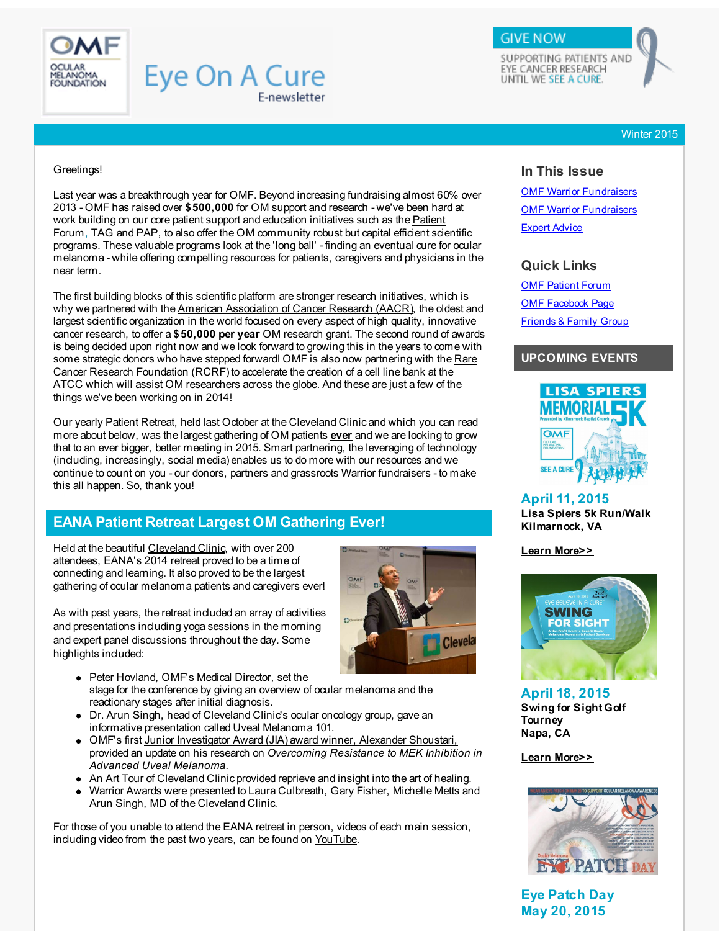<span id="page-0-0"></span>

## **Eye On A Cure** E-newsletter

SUPPORTING PATIENTS AND EYE CANCER RESEARCH UNTIL WE SEE A CURE.

**GIVE NOW** 

Winter 2015

#### Greetings!

Last year was a breakthrough year for OMF. Beyond increasing fundraising almost 60% over 2013 - OMF has raised over **\$500,000** for OM support and research - we've been hard at work building on our core patient support and education initiatives such as the Patient Forum, [TAG](http://r20.rs6.net/tn.jsp?f=001Z0CeeAezhl0GgcQQzP-rsv9N3n3Oz-XXeRA1pw9xl92KlEtUv9DUioWAK7Ho_Hw0tEZIx2k7ZJ4yOme6XPdMRG5nrBnWTYUQaZUsGtC8ggz1l99LbG-5Hp_6QR0rt7KXsANGufx7sj1S1KCtpohPpUFZ4RyEqb_4BISgtx5CSH7eQ11wuOpQL4uAYCDs5zPbxeeZaxCr7B1qJgQLinfvlQNMr7E3waitePgd8DQmWz2dXeuDtVG7GpgLGPsnHnRS1kHoT931j9Ivyi07HGbSlH331gki-Svb4EGMZjHwuP9WxnFRDmGq9kFWT_GEVbhMZl-1Kg7ysiHusrviT0dw-AovOrS_Ujo59O3SPZQH4cg=&c=&ch=) and [PAP](http://r20.rs6.net/tn.jsp?f=001Z0CeeAezhl0GgcQQzP-rsv9N3n3Oz-XXeRA1pw9xl92KlEtUv9DUiiAC6yADeMMqvt0XEj9u3b-3epohgxbwE7IE3W3KUSQQNPSsMh8R1cZLHBfr8w0SVo55V0M99BnJxnUvIOdZDlBjcriBLXSlwaIiP96w-c29AQ3Jd6DoDw1oOVG0lacUXF1MEn1JNQhA_2oie2UElCZKe0k2D7ccTY9ZDdJFTu5Q9bqg5CuzLmm_FF43KSH5QQApHG1DzevFTt7YL_IGDaRQ5A202c080owartUNhFAy_KC3hC871zBS0NW7VlU3sag8GjsygkouxxVELaEsSkWIiTI3JcNhnwKI7NoqkDB4WlculatMVZg=&c=&ch=), to also offer the OM [community](http://r20.rs6.net/tn.jsp?f=001Z0CeeAezhl0GgcQQzP-rsv9N3n3Oz-XXeRA1pw9xl92KlEtUv9DUiuCRasaFr-lDs_RLga0JFGIoN5A2qApyaW8oO6Ppfij9LsgjdCJWTF-bdUkh3jkos-cCYemz5yUBZhLJ6Rw8uTBAGBBbKDhv5yY3Cg5IVgr84v9OR-W2XmlyHcOH0BqTAC9qdhUc3h9eb1IiqXqgtEUz-l1PmFGmxg45tf7hh9TEcQx_aqYRz4hWEIQFrOz63NE-ge6ldDMuAV54gNhq8pljoI5Eg2vyVIdDdJ5tB2ugZ_WwsO7g7RdX37skAtaNPD6qhJyEq2newCV1GfbT13sWYZKf0XM9aQ==&c=&ch=) robust but capital efficient scientific programs. These valuable programs look at the 'long ball' - finding an eventual cure for ocular melanoma - while offering compelling resources for patients, caregivers and physicians in the near term.

The first building blocks of this scientific platform are stronger research initiatives, which is why we partnered with the American [Association](http://r20.rs6.net/tn.jsp?f=001Z0CeeAezhl0GgcQQzP-rsv9N3n3Oz-XXeRA1pw9xl92KlEtUv9DUiiAC6yADeMMq0TQX9yQcp3erF-qsbqehLAyhjyQpHqeyUvtyr1PAuyZt8tkEn-Z4uG7c7eyzv0joJoqzhaek2TGvt-wu-prbRYxjCfKnY_8gkSpksVvU7g2jWjPPOxH0Xz5XVVkA9IK2qoEFUWPSOeTNv_wq7pbSVlcEZVDw9LefbEyK9kDqdK8rcZeHAi-2qJ5MiJHwyvLL82OCr8m6TBVy9QhgJg7fRg5EF0W-kmJmwdeMIhvHEXwvtIfahppl_hp85QWLs93-gGqoJAl5MbQ7dOkQcPmZkQ==&c=&ch=) of Cancer Research (AACR), the oldest and largest scientific organization in the world focused on every aspect of high quality, innovative cancer research, to offer a **\$50,000 per year** OM research grant. The second round of awards is being decided upon right now and we look forward to growing this in the years to come with some strategic donors who have stepped forward! OMF is also now partnering with the Rare Cancer Research [Foundation](http://r20.rs6.net/tn.jsp?f=001Z0CeeAezhl0GgcQQzP-rsv9N3n3Oz-XXeRA1pw9xl92KlEtUv9DUinPm_ZJ82BSS6II9dIwXMK8BSlSWmRKPexfzIT0AseL4Unfgx_zn3ux3jOx-n3vlUoV8h7OKvvSRBxPUpO-A26rVjMxDoPSPHHlbVrWktMt9fm8IGgEIn9jAqo3XBAdyxNVOppEy2MOkPH0kRKcJPkhW-LB8u_64bPMVPycXjO0diS834U3CBB5e_TBQLQEOyMae5NHAvnsz1gzBdYFAVQ1GNyHxBDcKh8jysTPuwfNNqgZWMCOk72zHB0og4NNMe8SvlEmFRfIS&c=&ch=) (RCRF) to accelerate the creation of a cell line bank at the ATCC which will assist OM researchers across the globe. And these are just a few of the things we've been working on in 2014!

Our yearly Patient Retreat, held last October at the Cleveland Clinic and which you can read more about below, was the largest gathering of OM patients **ever** and we are looking to grow that to an ever bigger, better meeting in 2015. Smart partnering, the leveraging of technology (including, increasingly, social media) enables us to do more with our resources and we continue to count on you - our donors, partners and grassroots Warrior fundraisers - to make this all happen. So, thank you!

## **EANA Patient Retreat Largest OM Gathering Ever!**

Held at the beautiful [Cleveland](http://r20.rs6.net/tn.jsp?f=001Z0CeeAezhl0GgcQQzP-rsv9N3n3Oz-XXeRA1pw9xl92KlEtUv9DUiiAC6yADeMMqGPMSXbTIca3zrBzMpF8JToBDrgkz00Ffb0pRkXz-0Uc8gEIloplG6LoVf6Iid78w_EPFcbyJyxlXfjXCurs5cDhNzteuC2GA6C5jhvPa8PhTKkdPSCjigy12ReBP-HxCba06fCWAsr2qXB3Sm_zyVLUkapKhCX-lc35kV6Zrb_6BEi31Gt1AMOMPFd_tJACeH_A4FGvsToGOBDdjmc3pYASDWHAvRxEcJvW8YxNAWPgMNp2Mqx3aPuGu4mUhS7JfsJyaDYA-jffUBXHQHIj49qZo25sJbCIm&c=&ch=) Clinic, with over 200 attendees, EANA's 2014 retreat proved to be a time of connecting and learning. It also proved to be the largest gathering of ocular melanoma patients and caregivers ever!

As with past years, the retreat included an array of activities and presentations including yoga sessions in the morning and expert panel discussions throughout the day. Some highlights included:



- Dr. Arun Singh, head of Cleveland Clinic's ocular oncology group, gave an informative presentation called Uveal Melanoma 101.
- OMF's first Junior [Investigator](http://r20.rs6.net/tn.jsp?f=001Z0CeeAezhl0GgcQQzP-rsv9N3n3Oz-XXeRA1pw9xl92KlEtUv9DUirMrmUSCwaqPgAsqpdFGtN0E4Wz5yzUkZ4pSSSLbHHuPwxAZ5Z1e5i6s_3p71R9OjNbUBh06fAA3U1npmOuisnVyb40eeWY8CuRwwc0BFE1z7EFbDwkf6YY5Dv4yhW5y1jIZRDv6ZsTJsUck-tdeKNme-oUM8NcDua1nkqYC3Zolx7U9PSBFXWwXraZnWk4cInD-YRsSFT-p_Ow9RZpIKK6-0_hGJOYlPVA1jHmLqR8ClMc4SSrOKISQDi-tjH-D397Uq-ZnZspnUfQfF1evva4aZMMIxAJcQA==&c=&ch=) Award (JIA) award winner, Alexander Shoustari, provided an update on his research on *Overcoming Resistance to MEK Inhibition in Advanced Uveal Melanoma.*
- An Art Tour of Cleveland Clinic provided reprieve and insight into the art of healing.
- Warrior Awards were presented to Laura Culbreath, Gary Fisher, Michelle Metts and Arun Singh, MD of the Cleveland Clinic.

For those of you unable to attend the EANA retreat in person, videos of each main session, induding video from the past two years, can be found on [YouTube](http://r20.rs6.net/tn.jsp?f=001Z0CeeAezhl0GgcQQzP-rsv9N3n3Oz-XXeRA1pw9xl92KlEtUv9DUihhFqjNHRrJu3TKcGChycm6fulocGI8lhPLF5IKQ8X0ow1gOsYoBv-_0U9br4bhUTbIpT3do9MnPad1sDF721oDxELRY_YIycoRSvuUrNs7-VBabEkwgGk0bm3W_cxCwZ28bADS8cm5teyKNHMTjAjkFQUEeAe7llj85la-WRUC2kKnDJeG6T4xRfkcZ7JiscQ==&c=&ch=).

## **In This Issue**

OMF Warrior [Fundraisers](#page-0-0) **OMF Warrior [Fundraisers](#page-0-0)** [Expert](#page-0-0) Advice

## **Quick Links**

**OMF [Patient](http://r20.rs6.net/tn.jsp?f=001Z0CeeAezhl0GgcQQzP-rsv9N3n3Oz-XXeRA1pw9xl92KlEtUv9DUiuCRasaFr-lDs_RLga0JFGIoN5A2qApyaW8oO6Ppfij9LsgjdCJWTF-bdUkh3jkos-cCYemz5yUBZhLJ6Rw8uTBAGBBbKDhv5yY3Cg5IVgr84v9OR-W2XmlyHcOH0BqTAC9qdhUc3h9eb1IiqXqgtEUz-l1PmFGmxg45tf7hh9TEcQx_aqYRz4hWEIQFrOz63NE-ge6ldDMuAV54gNhq8pljoI5Eg2vyVIdDdJ5tB2ugZ_WwsO7g7RdX37skAtaNPD6qhJyEq2newCV1GfbT13sWYZKf0XM9aQ==&c=&ch=) Forum** OMF [Facebook](http://r20.rs6.net/tn.jsp?f=001Z0CeeAezhl0GgcQQzP-rsv9N3n3Oz-XXeRA1pw9xl92KlEtUv9DUimMf3KEfDfqhvgK1iB-n5-lZCxmzJLsWy_pMvz3eaPZKafef0FlVuq2aGQvfpBQ0sRYGWs-7UqmDb-06fmJsTM84V6YaCyFrCIxR3VWR1-0fK3tbthhdREECnM65FMe7JJWOXp--JEcR&c=&ch=) Page [Friends](http://r20.rs6.net/tn.jsp?f=001Z0CeeAezhl0GgcQQzP-rsv9N3n3Oz-XXeRA1pw9xl92KlEtUv9DUikukU1GKxvZJt7x1VOoOsrROHbYTYwUHsDDM33i6sZC9jJJ3qP2HqIFBY4ySONYSbmw1YfoGGRwmHAfVaKf-qdmR_IBdKFRruD5mOHEvz1O1tJPNNn7iTAUBoMv7qZYfUZuu3ClutwQFfHtr5-bCr8Q=&c=&ch=) & Family Group

## **UPCOMING EVENTS**



**April 11, 2015 Lisa Spiers 5k Run/Walk Kilmarnock, VA**

**Learn [More>>](http://r20.rs6.net/tn.jsp?f=001Z0CeeAezhl0GgcQQzP-rsv9N3n3Oz-XXeRA1pw9xl92KlEtUv9DUiiAC6yADeMMqGRnR6FWq9k5hk1kw8DkJPB7rpdWOtzfQzYRk6sALbEDfvrvJgqHQ0pr22vDmpeZZzH8XyQ4BBBMDFeXrAvhEQYLDWqHSxhFq2UQzMB6ukiv4S5jOK8mASIi9Ot66mwwLn-p3YbZfthZ7o1AHirgn8336Xqh3zFkUTzU6Tn59MvbRtghe7_dYzD54F8JnKcVk0Gm4v4HhA1lbQgjCOnF7Eeq8yJJjzEZXCgmN-GYVa-IWfgnlzc5mkHiV4BUN2BDpWxKJ1HZy4s8=&c=&ch=)**

**Clevela** 



**April 18, 2015 Swing for Sight Golf Tourney Napa, CA**

**Learn [More>>](http://r20.rs6.net/tn.jsp?f=001Z0CeeAezhl0GgcQQzP-rsv9N3n3Oz-XXeRA1pw9xl92KlEtUv9DUiiAC6yADeMMq2uH-JRnCYItqi2H3p3H_RTEbYsQB5fZL7mP3hlWvjSvnNfRYOwyrOIA_D4mNHXtj7dAPr_k7zDWtE0Wy9x1gGOff4B1DBpKOPseLJsQu0ZwdbLCLEpI-DeqZ1Rn7K9IuRC0JfV8_2EYOCwy84eXZgv0jxlUjdhr0pt6UeI7NFUXLTg8Ouosw2cgKIE_wCU33EDtZdnBwd69jOO-5oZdRVuPSlMpfAmwWj1gPop77H-dD3S9DeN4f8J8qgwd9fs_xK8_XiTQusaccg6jTor_4QsGIQW8XSww6lZrJbtW6gpTBhe8psleS9zIkZ_oAGJnCs5TDzQoG5nQzQNs5BLHRM0dnhhY5jO3Chh7sZeIUdDU=&c=&ch=)**



**Eye Patch Day May 20, 2015**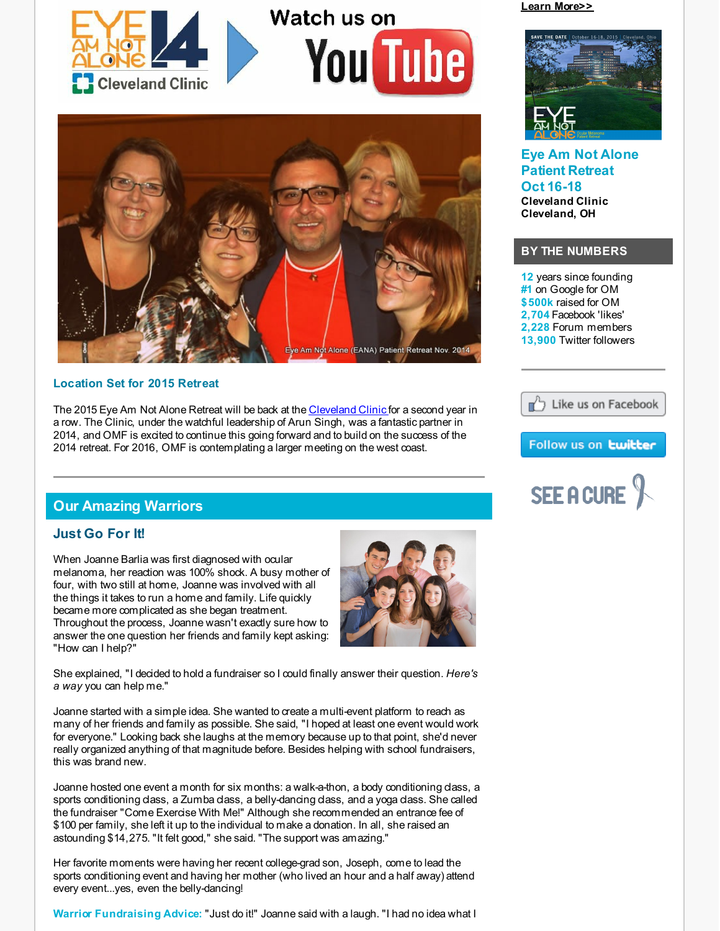

# Watch us on **You Tube**



#### **Location Set for 2015 Retreat**

The 2015 Eye Am Not Alone Retreat will be back at the [Cleveland](http://r20.rs6.net/tn.jsp?f=001Z0CeeAezhl0GgcQQzP-rsv9N3n3Oz-XXeRA1pw9xl92KlEtUv9DUiiAC6yADeMMqGPMSXbTIca3zrBzMpF8JToBDrgkz00Ffb0pRkXz-0Uc8gEIloplG6LoVf6Iid78w_EPFcbyJyxlXfjXCurs5cDhNzteuC2GA6C5jhvPa8PhTKkdPSCjigy12ReBP-HxCba06fCWAsr2qXB3Sm_zyVLUkapKhCX-lc35kV6Zrb_6BEi31Gt1AMOMPFd_tJACeH_A4FGvsToGOBDdjmc3pYASDWHAvRxEcJvW8YxNAWPgMNp2Mqx3aPuGu4mUhS7JfsJyaDYA-jffUBXHQHIj49qZo25sJbCIm&c=&ch=) Clinic for a second year in a row. The Clinic, under the watchful leadership of Arun Singh, was a fantastic partner in 2014, and OMF is excited to continue this going forward and to build on the success of the 2014 retreat. For 2016, OMF is contemplating a larger meeting on the west coast.

## **Our Amazing Warriors**

## **Just Go For It!**

When Joanne Barlia was first diagnosed with ocular melanoma, her reaction was 100% shock. A busy mother of four, with two still at home, Joanne was involved with all the things it takes to run a home and family. Life quickly became more complicated as she began treatment. Throughout the process, Joanne wasn't exactly sure how to answer the one question her friends and family kept asking: "How can I help?"



She explained, "I decided to hold a fundraiser so I could finally answer their question. *Here's a way* you can help me."

Joanne started with a simple idea. She wanted to create a multi-event platform to reach as many of her friends and family as possible. She said, "I hoped at least one event would work for everyone." Looking back she laughs at the memory because up to that point, she'd never really organized anything of that magnitude before. Besides helping with school fundraisers, this was brand new.

Joanne hosted one event a month for six months: a walk-a-thon, a body conditioning class, a sports conditioning class, a Zumba class, a belly-dancing class, and a yoga class. She called the fundraiser "Come Exercise With Me!" Although she recommended an entrance fee of \$100 per family, she left it up to the individual to make a donation. In all, she raised an astounding \$14,275. "It felt good," she said. "The support was amazing."

Her favorite moments were having her recent college-grad son, Joseph, come to lead the sports conditioning event and having her mother (who lived an hour and a half away) attend every event...yes, even the belly-dancing!

**Warrior Fundraising Advice:** "Just do it!" Joanne said with a laugh. "I had no idea what I

**Learn [More>>](http://r20.rs6.net/tn.jsp?f=001Z0CeeAezhl0GgcQQzP-rsv9N3n3Oz-XXeRA1pw9xl92KlEtUv9DUivvk7MdhkvsN7eYEXXjMZON5a1N6kbGKUKXzbpgA1QJ64N0ul2ZBwp70m6gYCo5P8SyBOmyOgq3JWMxjzHUUY--_C6zKRC5HAjTK1zuWh9236vXZyDcyRtNUwDEitOCPUdrV-T4j5SpQRYpgS_ELOoNyOTDGvUbzpgOW12Hw1joBmCCG1CvEZJ7JuUf0b8QF4flyP5mam3S6Azqlf1EC13MFWtvDnAET7-yqtXNaUzL6u_FA07fXpal_y9AJ2KJD_4d6mjliFeOSvMa4yt7-Y7BTnr_I1AM3Czetsq6CLkS3&c=&ch=)**



**Eye Am Not Alone Patient Retreat Oct 16-18 Cleveland Clinic Cleveland, OH**

## **BY THE NUMBERS**

**12** years since founding **#1** on Google for OM **\$500k** raised for OM **2,704** Facebook 'likes' **2,228** Forum members **13,900** Twitter followers



## Follow us on **twitter**

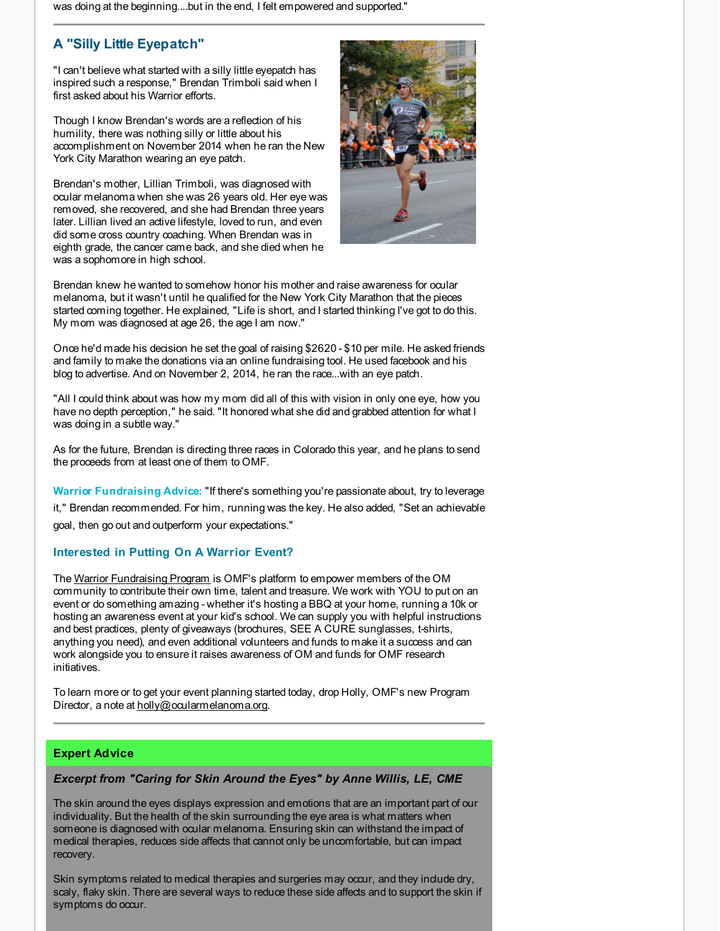was doing at the beginning....but in the end, I felt empowered and supported."

## **A "Silly Little Eyepatch"**

"I can't believe what started with a silly little eyepatch has inspired such a response," Brendan Trimboli said when I first asked about his Warrior efforts.

Though I know Brendan's words are a reflection of his humility, there was nothing silly or little about his accomplishment on November 2014 when he ran the New York City Marathon wearing an eye patch.

Brendan's mother, Lillian Trimboli, was diagnosed with ocular melanoma when she was 26 years old. Her eye was removed, she recovered, and she had Brendan three years later. Lillian lived an active lifestyle, loved to run, and even did some cross country coaching. When Brendan was in eighth grade, the cancer came back, and she died when he was a sophomore in high school.



Brendan knew he wanted to somehow honor his mother and raise awareness for ocular melanoma, but it wasn't until he qualified for the New York City Marathon that the pieces started coming together. He explained, "Life is short, and I started thinking I've got to do this. My mom was diagnosed at age 26, the age I am now."

Once he'd made his decision he set the goal of raising \$2620 - \$10 per mile. He asked friends and family to make the donations via an online fundraising tool. He used facebook and his blog to advertise. And on November 2, 2014, he ran the race...with an eye patch.

"All I could think about was how my mom did all of this with vision in only one eye, how you have no depth perception," he said. "It honored what she did and grabbed attention for what I was doing in a subtle way."

As for the future, Brendan is directing three races in Colorado this year, and he plans to send the proceeds from at least one of them to OMF.

**Warrior Fundraising Advice:** "If there's something you're passionate about, try to leverage it," Brendan recommended. For him, running was the key. He also added, "Set an achievable goal, then go out and outperform your expectations."

## **Interested in Putting On A Warrior Event?**

The Warrior [Fundraising](http://r20.rs6.net/tn.jsp?f=001Z0CeeAezhl0GgcQQzP-rsv9N3n3Oz-XXeRA1pw9xl92KlEtUv9DUimMf3KEfDfqhwN9_N5MOy9hJXeJoQi3vKyqD6aEOPzHTOx7gkyyG0aW4OtrarRNYhP5tdUil7_B4-0G2FiZI7-4b8KUvz6wzekYpeSEQZEYNY-KBrhzeX6UBPFrltu2cMAWa--G-VwiToK5-nHLWxaa2dybEEMZ0MQ04dQ7CVxWv_eDpMl1teXrpy491oSejRqAdRbCrWX_Hyk5wxH4FNoiXLmeHTySIscsTm2ribAO91CJ1eO1-X4-SXzSXC03eKn7fojAQ4jhfnYLhRmFYCqPV2mYKy1dY2cFqNDSJo8k9CltMQ5kPiXc=&c=&ch=) Program is OMF's platform to empower members of the OM community to contribute their own time, talent and treasure. We work with YOU to put on an event or do something amazing - whether it's hosting a BBQ at your home, running a 10k or hosting an awareness event at your kid's school. We can supply you with helpful instructions and best practices, plenty of giveaways (brochures, SEE A CURE sunglasses, t-shirts, anything you need), and even additional volunteers and funds to make it a success and can work alongside you to ensure it raises awareness of OM and funds for OMF research initiatives.

To learn more or to get your event planning started today, drop Holly, OMF's new Program Director, a note at [holly@ocularmelanoma.org](mailto:holly@ocularmelanoma.org).

#### **Expert Advice**

## *Excerpt from "Caring for Skin Around the Eyes" by Anne Willis, LE, CME*

The skin around the eyes displays expression and emotions that are an important part of our individuality. But the health of the skin surrounding the eye area is what matters when someone is diagnosed with ocular melanoma. Ensuring skin can withstand the impact of medical therapies, reduces side affects that cannot only be uncomfortable, but can impact recovery.

Skin symptoms related to medical therapies and surgeries may occur, and they include dry, scaly, flaky skin. There are several ways to reduce these side affects and to support the skin if symptoms do occur.